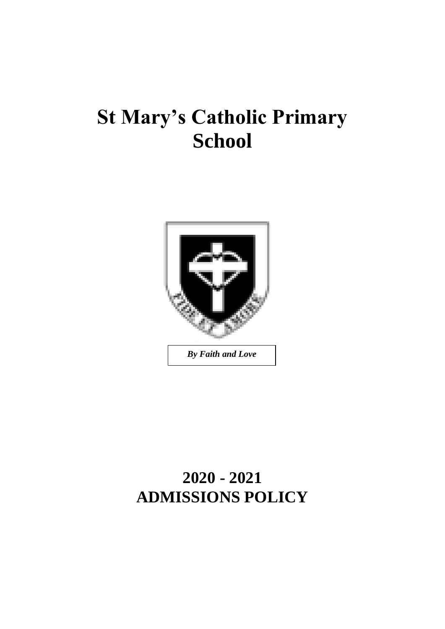# **St Mary's Catholic Primary School**



# **2020 - 2021 ADMISSIONS POLICY**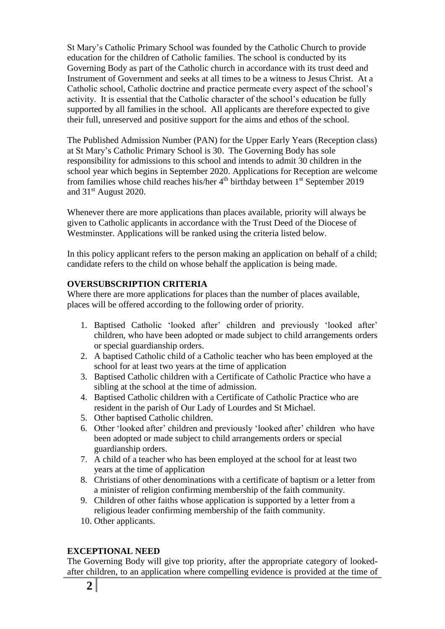St Mary's Catholic Primary School was founded by the Catholic Church to provide education for the children of Catholic families. The school is conducted by its Governing Body as part of the Catholic church in accordance with its trust deed and Instrument of Government and seeks at all times to be a witness to Jesus Christ. At a Catholic school, Catholic doctrine and practice permeate every aspect of the school's activity. It is essential that the Catholic character of the school's education be fully supported by all families in the school. All applicants are therefore expected to give their full, unreserved and positive support for the aims and ethos of the school.

The Published Admission Number (PAN) for the Upper Early Years (Reception class) at St Mary's Catholic Primary School is 30. The Governing Body has sole responsibility for admissions to this school and intends to admit 30 children in the school year which begins in September 2020. Applications for Reception are welcome from families whose child reaches his/her 4th birthday between 1st September 2019 and 31st August 2020.

Whenever there are more applications than places available, priority will always be given to Catholic applicants in accordance with the Trust Deed of the Diocese of Westminster. Applications will be ranked using the criteria listed below.

In this policy applicant refers to the person making an application on behalf of a child; candidate refers to the child on whose behalf the application is being made.

### **OVERSUBSCRIPTION CRITERIA**

Where there are more applications for places than the number of places available, places will be offered according to the following order of priority.

- 1. Baptised Catholic 'looked after' children and previously 'looked after' children, who have been adopted or made subject to child arrangements orders or special guardianship orders.
- 2. A baptised Catholic child of a Catholic teacher who has been employed at the school for at least two years at the time of application
- 3. Baptised Catholic children with a Certificate of Catholic Practice who have a sibling at the school at the time of admission.
- 4. Baptised Catholic children with a Certificate of Catholic Practice who are resident in the parish of Our Lady of Lourdes and St Michael.
- 5. Other baptised Catholic children.
- 6. Other 'looked after' children and previously 'looked after' children who have been adopted or made subject to child arrangements orders or special guardianship orders.
- 7. A child of a teacher who has been employed at the school for at least two years at the time of application
- 8. Christians of other denominations with a certificate of baptism or a letter from a minister of religion confirming membership of the faith community.
- 9. Children of other faiths whose application is supported by a letter from a religious leader confirming membership of the faith community.
- 10. Other applicants.

#### **EXCEPTIONAL NEED**

The Governing Body will give top priority, after the appropriate category of lookedafter children, to an application where compelling evidence is provided at the time of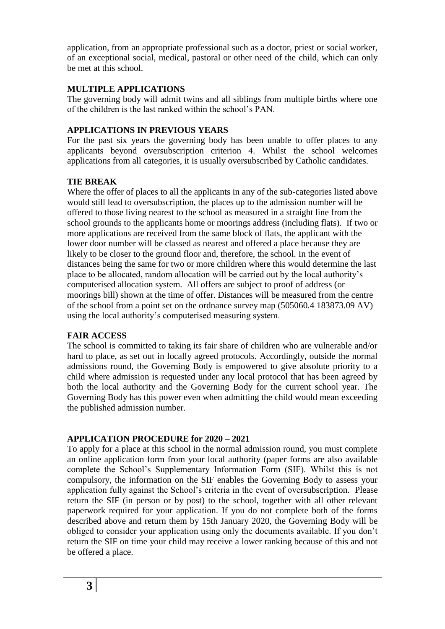application, from an appropriate professional such as a doctor, priest or social worker, of an exceptional social, medical, pastoral or other need of the child, which can only be met at this school.

#### **MULTIPLE APPLICATIONS**

The governing body will admit twins and all siblings from multiple births where one of the children is the last ranked within the school's PAN.

#### **APPLICATIONS IN PREVIOUS YEARS**

For the past six years the governing body has been unable to offer places to any applicants beyond oversubscription criterion 4. Whilst the school welcomes applications from all categories, it is usually oversubscribed by Catholic candidates.

# **TIE BREAK**

Where the offer of places to all the applicants in any of the sub-categories listed above would still lead to oversubscription, the places up to the admission number will be offered to those living nearest to the school as measured in a straight line from the school grounds to the applicants home or moorings address (including flats). If two or more applications are received from the same block of flats, the applicant with the lower door number will be classed as nearest and offered a place because they are likely to be closer to the ground floor and, therefore, the school. In the event of distances being the same for two or more children where this would determine the last place to be allocated, random allocation will be carried out by the local authority's computerised allocation system. All offers are subject to proof of address (or moorings bill) shown at the time of offer. Distances will be measured from the centre of the school from a point set on the ordnance survey map (505060.4 183873.09 AV) using the local authority's computerised measuring system.

#### **FAIR ACCESS**

The school is committed to taking its fair share of children who are vulnerable and/or hard to place, as set out in locally agreed protocols. Accordingly, outside the normal admissions round, the Governing Body is empowered to give absolute priority to a child where admission is requested under any local protocol that has been agreed by both the local authority and the Governing Body for the current school year. The Governing Body has this power even when admitting the child would mean exceeding the published admission number.

#### **APPLICATION PROCEDURE for 2020 – 2021**

To apply for a place at this school in the normal admission round, you must complete an online application form from your local authority (paper forms are also available complete the School's Supplementary Information Form (SIF). Whilst this is not compulsory, the information on the SIF enables the Governing Body to assess your application fully against the School's criteria in the event of oversubscription. Please return the SIF (in person or by post) to the school, together with all other relevant paperwork required for your application. If you do not complete both of the forms described above and return them by 15th January 2020, the Governing Body will be obliged to consider your application using only the documents available. If you don't return the SIF on time your child may receive a lower ranking because of this and not be offered a place.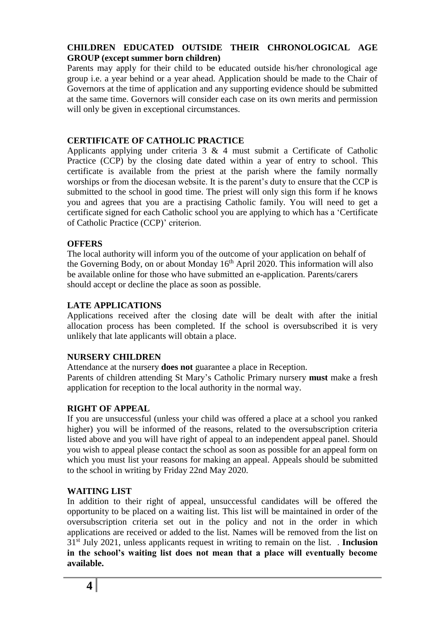## **CHILDREN EDUCATED OUTSIDE THEIR CHRONOLOGICAL AGE GROUP (except summer born children)**

Parents may apply for their child to be educated outside his/her chronological age group i.e. a year behind or a year ahead. Application should be made to the Chair of Governors at the time of application and any supporting evidence should be submitted at the same time. Governors will consider each case on its own merits and permission will only be given in exceptional circumstances.

#### **CERTIFICATE OF CATHOLIC PRACTICE**

Applicants applying under criteria 3 & 4 must submit a Certificate of Catholic Practice (CCP) by the closing date dated within a year of entry to school. This certificate is available from the priest at the parish where the family normally worships or from the diocesan website. It is the parent's duty to ensure that the CCP is submitted to the school in good time. The priest will only sign this form if he knows you and agrees that you are a practising Catholic family. You will need to get a certificate signed for each Catholic school you are applying to which has a 'Certificate of Catholic Practice (CCP)' criterion.

#### **OFFERS**

The local authority will inform you of the outcome of your application on behalf of the Governing Body, on or about Monday  $16<sup>th</sup>$  April 2020. This information will also be available online for those who have submitted an e-application. Parents/carers should accept or decline the place as soon as possible.

#### **LATE APPLICATIONS**

Applications received after the closing date will be dealt with after the initial allocation process has been completed. If the school is oversubscribed it is very unlikely that late applicants will obtain a place.

#### **NURSERY CHILDREN**

Attendance at the nursery **does not** guarantee a place in Reception. Parents of children attending St Mary's Catholic Primary nursery **must** make a fresh application for reception to the local authority in the normal way.

#### **RIGHT OF APPEAL**

If you are unsuccessful (unless your child was offered a place at a school you ranked higher) you will be informed of the reasons, related to the oversubscription criteria listed above and you will have right of appeal to an independent appeal panel. Should you wish to appeal please contact the school as soon as possible for an appeal form on which you must list your reasons for making an appeal. Appeals should be submitted to the school in writing by Friday 22nd May 2020.

#### **WAITING LIST**

In addition to their right of appeal, unsuccessful candidates will be offered the opportunity to be placed on a waiting list. This list will be maintained in order of the oversubscription criteria set out in the policy and not in the order in which applications are received or added to the list. Names will be removed from the list on 31st July 2021, unless applicants request in writing to remain on the list. . **Inclusion in the school's waiting list does not mean that a place will eventually become available.**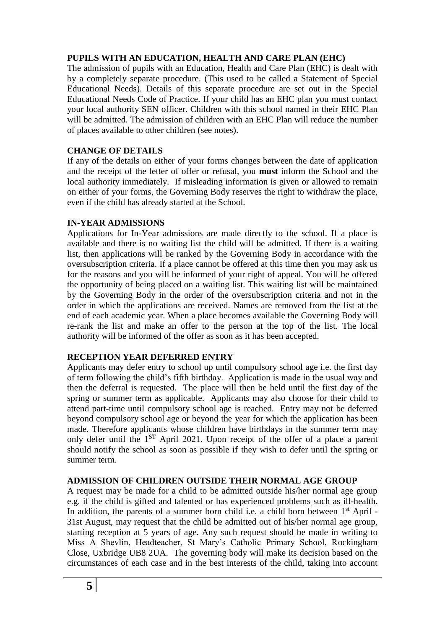#### **PUPILS WITH AN EDUCATION, HEALTH AND CARE PLAN (EHC)**

The admission of pupils with an Education, Health and Care Plan (EHC) is dealt with by a completely separate procedure. (This used to be called a Statement of Special Educational Needs). Details of this separate procedure are set out in the Special Educational Needs Code of Practice. If your child has an EHC plan you must contact your local authority SEN officer. Children with this school named in their EHC Plan will be admitted. The admission of children with an EHC Plan will reduce the number of places available to other children (see notes).

#### **CHANGE OF DETAILS**

If any of the details on either of your forms changes between the date of application and the receipt of the letter of offer or refusal, you **must** inform the School and the local authority immediately. If misleading information is given or allowed to remain on either of your forms, the Governing Body reserves the right to withdraw the place, even if the child has already started at the School.

#### **IN-YEAR ADMISSIONS**

Applications for In-Year admissions are made directly to the school. If a place is available and there is no waiting list the child will be admitted. If there is a waiting list, then applications will be ranked by the Governing Body in accordance with the oversubscription criteria. If a place cannot be offered at this time then you may ask us for the reasons and you will be informed of your right of appeal. You will be offered the opportunity of being placed on a waiting list. This waiting list will be maintained by the Governing Body in the order of the oversubscription criteria and not in the order in which the applications are received. Names are removed from the list at the end of each academic year. When a place becomes available the Governing Body will re-rank the list and make an offer to the person at the top of the list. The local authority will be informed of the offer as soon as it has been accepted.

#### **RECEPTION YEAR DEFERRED ENTRY**

Applicants may defer entry to school up until compulsory school age i.e. the first day of term following the child's fifth birthday. Application is made in the usual way and then the deferral is requested. The place will then be held until the first day of the spring or summer term as applicable. Applicants may also choose for their child to attend part-time until compulsory school age is reached. Entry may not be deferred beyond compulsory school age or beyond the year for which the application has been made. Therefore applicants whose children have birthdays in the summer term may only defer until the 1ST April 2021. Upon receipt of the offer of a place a parent should notify the school as soon as possible if they wish to defer until the spring or summer term.

#### **ADMISSION OF CHILDREN OUTSIDE THEIR NORMAL AGE GROUP**

A request may be made for a child to be admitted outside his/her normal age group e.g. if the child is gifted and talented or has experienced problems such as ill-health. In addition, the parents of a summer born child i.e. a child born between 1<sup>st</sup> April -31st August, may request that the child be admitted out of his/her normal age group, starting reception at 5 years of age. Any such request should be made in writing to Miss A Shevlin, Headteacher, St Mary's Catholic Primary School, Rockingham Close, Uxbridge UB8 2UA. The governing body will make its decision based on the circumstances of each case and in the best interests of the child, taking into account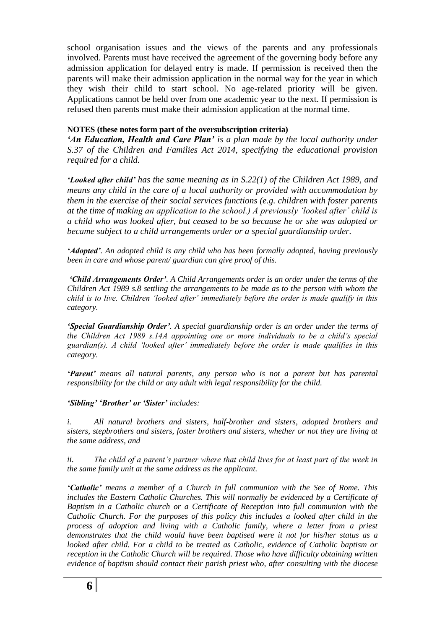school organisation issues and the views of the parents and any professionals involved. Parents must have received the agreement of the governing body before any admission application for delayed entry is made. If permission is received then the parents will make their admission application in the normal way for the year in which they wish their child to start school. No age-related priority will be given. Applications cannot be held over from one academic year to the next. If permission is refused then parents must make their admission application at the normal time.

#### **NOTES (these notes form part of the oversubscription criteria)**

*'An Education, Health and Care Plan' is a plan made by the local authority under S.37 of the Children and Families Act 2014, specifying the educational provision required for a child.*

*'Looked after child' has the same meaning as in S.22(1) of the Children Act 1989, and means any child in the care of a local authority or provided with accommodation by them in the exercise of their social services functions (e.g. children with foster parents at the time of making an application to the school.) A previously 'looked after' child is a child who was looked after, but ceased to be so because he or she was adopted or became subject to a child arrangements order or a special guardianship order.*

*'Adopted'. An adopted child is any child who has been formally adopted, having previously been in care and whose parent/ guardian can give proof of this.*

*'Child Arrangements Order'. A Child Arrangements order is an order under the terms of the Children Act 1989 s.8 settling the arrangements to be made as to the person with whom the child is to live. Children 'looked after' immediately before the order is made qualify in this category.*

*'Special Guardianship Order'. A special guardianship order is an order under the terms of the Children Act 1989 s.14A appointing one or more individuals to be a child's special guardian(s). A child 'looked after' immediately before the order is made qualifies in this category.*

*'Parent' means all natural parents, any person who is not a parent but has parental responsibility for the child or any adult with legal responsibility for the child.*

*'Sibling' 'Brother' or 'Sister' includes:*

*i. All natural brothers and sisters, half-brother and sisters, adopted brothers and sisters, stepbrothers and sisters, foster brothers and sisters, whether or not they are living at the same address, and*

*ii. The child of a parent's partner where that child lives for at least part of the week in the same family unit at the same address as the applicant.*

*'Catholic' means a member of a Church in full communion with the See of Rome. This includes the Eastern Catholic Churches. This will normally be evidenced by a Certificate of Baptism in a Catholic church or a Certificate of Reception into full communion with the Catholic Church. For the purposes of this policy this includes a looked after child in the process of adoption and living with a Catholic family, where a letter from a priest demonstrates that the child would have been baptised were it not for his/her status as a looked after child. For a child to be treated as Catholic, evidence of Catholic baptism or reception in the Catholic Church will be required. Those who have difficulty obtaining written evidence of baptism should contact their parish priest who, after consulting with the diocese*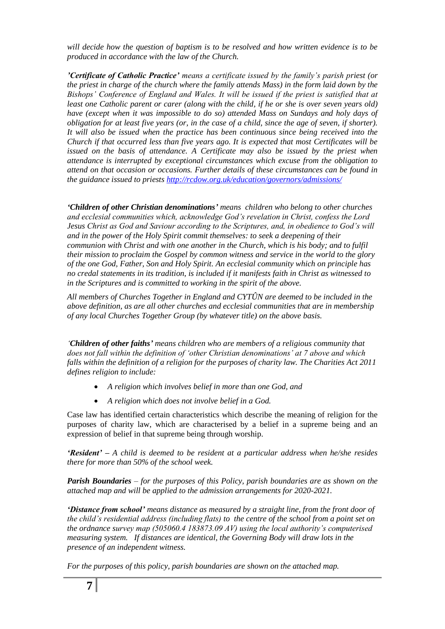*will decide how the question of baptism is to be resolved and how written evidence is to be produced in accordance with the law of the Church.*

*'Certificate of Catholic Practice' means a certificate issued by the family's parish priest (or the priest in charge of the church where the family attends Mass) in the form laid down by the Bishops' Conference of England and Wales. It will be issued if the priest is satisfied that at least one Catholic parent or carer (along with the child, if he or she is over seven years old) have (except when it was impossible to do so) attended Mass on Sundays and holy days of obligation for at least five years (or, in the case of a child, since the age of seven, if shorter). It will also be issued when the practice has been continuous since being received into the Church if that occurred less than five years ago. It is expected that most Certificates will be issued on the basis of attendance. A Certificate may also be issued by the priest when attendance is interrupted by exceptional circumstances which excuse from the obligation to attend on that occasion or occasions. Further details of these circumstances can be found in the guidance issued to priest[s http://rcdow.org.uk/education/governors/admissions/](http://rcdow.org.uk/education/governors/admissions/)*

*'Children of other Christian denominations' means children who belong to other churches and ecclesial communities which, acknowledge God's revelation in Christ, confess the Lord Jesus Christ as God and Saviour according to the Scriptures, and, in obedience to God's will and in the power of the Holy Spirit commit themselves: to seek a deepening of their communion with Christ and with one another in the Church, which is his body; and to fulfil their mission to proclaim the Gospel by common witness and service in the world to the glory of the one God, Father, Son and Holy Spirit. An ecclesial community which on principle has no credal statements in its tradition, is included if it manifests faith in Christ as witnessed to in the Scriptures and is committed to working in the spirit of the above.*

*All members of Churches Together in England and CYTÛN are deemed to be included in the above definition, as are all other churches and ecclesial communities that are in membership of any local Churches Together Group (by whatever title) on the above basis.*

*'Children of other faiths' means children who are members of a religious community that does not fall within the definition of 'other Christian denominations' at 7 above and which falls within the definition of a religion for the purposes of charity law. The Charities Act 2011 defines religion to include:*

- *A religion which involves belief in more than one God, and*
- *A religion which does not involve belief in a God.*

Case law has identified certain characteristics which describe the meaning of religion for the purposes of charity law, which are characterised by a belief in a supreme being and an expression of belief in that supreme being through worship.

*'Resident' – A child is deemed to be resident at a particular address when he/she resides there for more than 50% of the school week.*

*Parish Boundaries – for the purposes of this Policy, parish boundaries are as shown on the attached map and will be applied to the admission arrangements for 2020-2021.*

*'Distance from school' means distance as measured by a straight line, from the front door of the child's residential address (including flats) to the centre of the school from a point set on the ordnance survey map (505060.4 183873.09 AV) using the local authority's computerised measuring system. If distances are identical, the Governing Body will draw lots in the presence of an independent witness.*

*For the purposes of this policy, parish boundaries are shown on the attached map.*